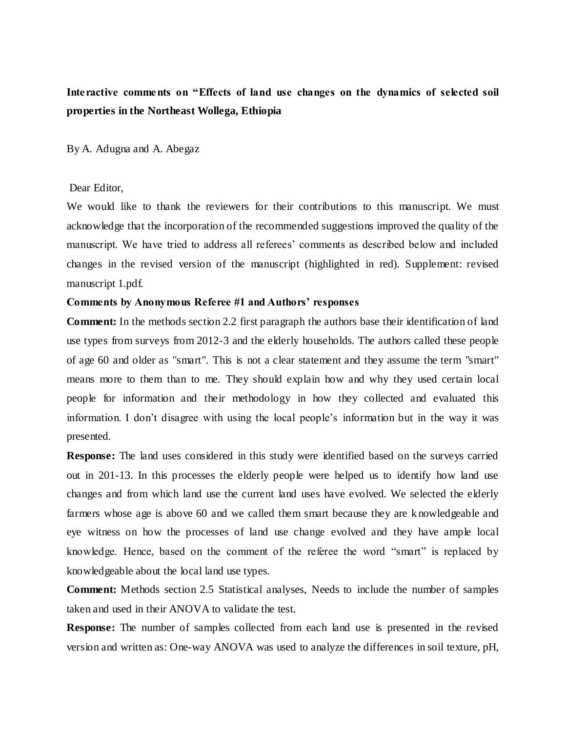# **Interactive comments on "Effects of land use changes on the dynamics of selected soil properties in the Northeast Wollega, Ethiopia**

By A. Adugna and A. Abegaz

## Dear Editor,

We would like to thank the reviewers for their contributions to this manuscript. We must acknowledge that the incorporation of the recommended suggestions improved the quality of the manuscript. We have tried to address all referees' comments as described below and included changes in the revised version of the manuscript (highlighted in red). Supplement: revised manuscript 1.pdf.

# **Comments by Anonymous Referee #1 and Authors' responses**

**Comment:** In the methods section 2.2 first paragraph the authors base their identification of land use types from surveys from 2012-3 and the elderly households. The authors called these people of age 60 and older as "smart". This is not a clear statement and they assume the term "smart" means more to them than to me. They should explain how and why they used certain local people for information and their methodology in how they collected and evaluated this information. I don't disagree with using the local people's information but in the way it was presented.

**Response:** The land uses considered in this study were identified based on the surveys carried out in 201-13. In this processes the elderly people were helped us to identify how land use changes and from which land use the current land uses have evolved. We selected the elderly farmers whose age is above 60 and we called them smart because they are k nowledgeable and eye witness on how the processes of land use change evolved and they have ample local knowledge. Hence, based on the comment of the referee the word "smart" is replaced by knowledgeable about the local land use types.

**Comment:** Methods section 2.5 Statistical analyses, Needs to include the number of samples taken and used in their ANOVA to validate the test.

**Response:** The number of samples collected from each land use is presented in the revised version and written as: One-way ANOVA was used to analyze the differences in soil texture, pH,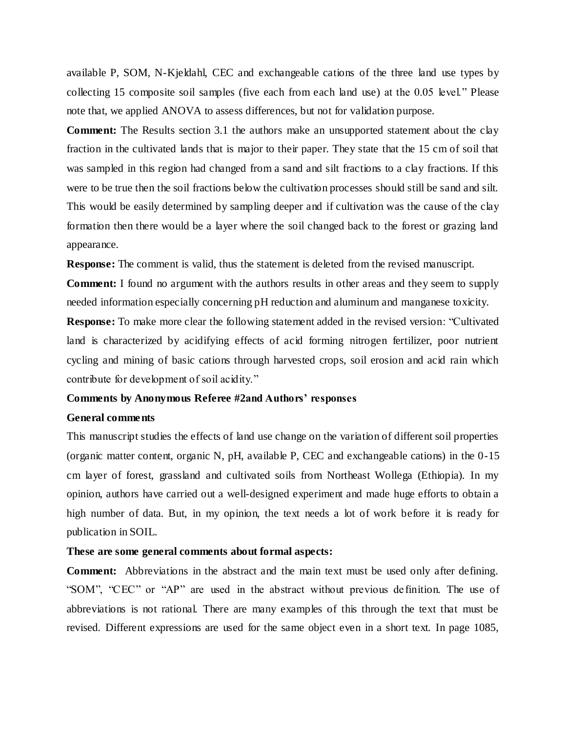available P, SOM, N-Kjeldahl, CEC and exchangeable cations of the three land use types by collecting 15 composite soil samples (five each from each land use) at the 0.05 level." Please note that, we applied ANOVA to assess differences, but not for validation purpose.

**Comment:** The Results section 3.1 the authors make an unsupported statement about the clay fraction in the cultivated lands that is major to their paper. They state that the 15 cm of soil that was sampled in this region had changed from a sand and silt fractions to a clay fractions. If this were to be true then the soil fractions below the cultivation processes should still be sand and silt. This would be easily determined by sampling deeper and if cultivation was the cause of the clay formation then there would be a layer where the soil changed back to the forest or grazing land appearance.

**Response:** The comment is valid, thus the statement is deleted from the revised manuscript.

**Comment:** I found no argument with the authors results in other areas and they seem to supply needed information especially concerning pH reduction and aluminum and manganese toxicity.

**Response:** To make more clear the following statement added in the revised version: "Cultivated land is characterized by acidifying effects of acid forming nitrogen fertilizer, poor nutrient cycling and mining of basic cations through harvested crops, soil erosion and acid rain which contribute for development of soil acidity."

## **Comments by Anonymous Referee #2and Authors' responses**

# **General comments**

This manuscript studies the effects of land use change on the variation of different soil properties (organic matter content, organic N, pH, available P, CEC and exchangeable cations) in the 0-15 cm layer of forest, grassland and cultivated soils from Northeast Wollega (Ethiopia). In my opinion, authors have carried out a well-designed experiment and made huge efforts to obtain a high number of data. But, in my opinion, the text needs a lot of work before it is ready for publication in SOIL.

#### **These are some general comments about formal aspects:**

**Comment:** Abbreviations in the abstract and the main text must be used only after defining. "SOM", "CEC" or "AP" are used in the abstract without previous de finition. The use of abbreviations is not rational. There are many examples of this through the text that must be revised. Different expressions are used for the same object even in a short text. In page 1085,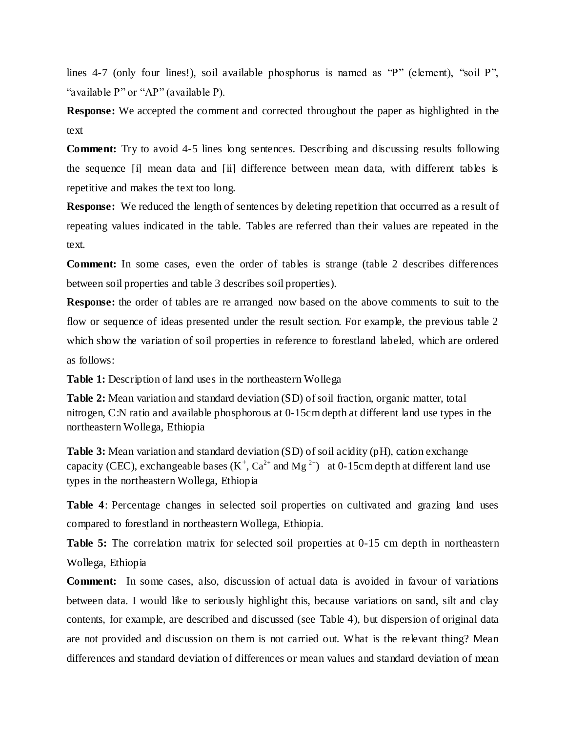lines 4-7 (only four lines!), soil available phosphorus is named as "P" (element), "soil P", "available P" or "AP" (available P).

**Response:** We accepted the comment and corrected throughout the paper as highlighted in the text

**Comment:** Try to avoid 4-5 lines long sentences. Describing and discussing results following the sequence [i] mean data and [ii] difference between mean data, with different tables is repetitive and makes the text too long.

**Response:** We reduced the length of sentences by deleting repetition that occurred as a result of repeating values indicated in the table. Tables are referred than their values are repeated in the text.

**Comment:** In some cases, even the order of tables is strange (table 2 describes differences between soil properties and table 3 describes soil properties).

**Response:** the order of tables are re arranged now based on the above comments to suit to the flow or sequence of ideas presented under the result section. For example, the previous table 2 which show the variation of soil properties in reference to forestland labeled, which are ordered as follows:

**Table 1:** Description of land uses in the northeastern Wollega

**Table 2:** Mean variation and standard deviation (SD) of soil fraction, organic matter, total nitrogen, C:N ratio and available phosphorous at 0-15cm depth at different land use types in the northeastern Wollega, Ethiopia

**Table 3:** Mean variation and standard deviation (SD) of soil acidity (pH), cation exchange capacity (CEC), exchangeable bases  $(K^+, Ca^{2+}$  and Mg<sup>2+</sup>) at 0-15cm depth at different land use types in the northeastern Wollega, Ethiopia

**Table 4**: Percentage changes in selected soil properties on cultivated and grazing land uses compared to forestland in northeastern Wollega, Ethiopia.

**Table 5:** The correlation matrix for selected soil properties at 0-15 cm depth in northeastern Wollega, Ethiopia

**Comment:** In some cases, also, discussion of actual data is avoided in favour of variations between data. I would like to seriously highlight this, because variations on sand, silt and clay contents, for example, are described and discussed (see Table 4), but dispersion of original data are not provided and discussion on them is not carried out. What is the relevant thing? Mean differences and standard deviation of differences or mean values and standard deviation of mean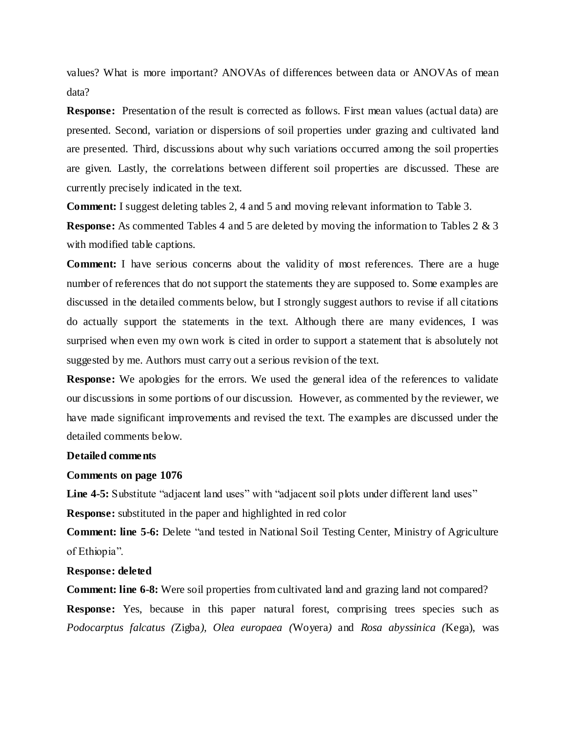values? What is more important? ANOVAs of differences between data or ANOVAs of mean data?

**Response:** Presentation of the result is corrected as follows. First mean values (actual data) are presented. Second, variation or dispersions of soil properties under grazing and cultivated land are presented. Third, discussions about why such variations occurred among the soil properties are given. Lastly, the correlations between different soil properties are discussed. These are currently precisely indicated in the text.

**Comment:** I suggest deleting tables 2, 4 and 5 and moving relevant information to Table 3.

**Response:** As commented Tables 4 and 5 are deleted by moving the information to Tables 2 & 3 with modified table captions.

**Comment:** I have serious concerns about the validity of most references. There are a huge number of references that do not support the statements they are supposed to. Some examples are discussed in the detailed comments below, but I strongly suggest authors to revise if all citations do actually support the statements in the text. Although there are many evidences, I was surprised when even my own work is cited in order to support a statement that is absolutely not suggested by me. Authors must carry out a serious revision of the text.

**Response:** We apologies for the errors. We used the general idea of the references to validate our discussions in some portions of our discussion. However, as commented by the reviewer, we have made significant improvements and revised the text. The examples are discussed under the detailed comments below.

#### **Detailed comments**

#### **Comments on page 1076**

Line 4-5: Substitute "adjacent land uses" with "adjacent soil plots under different land uses" **Response:** substituted in the paper and highlighted in red color

**Comment: line 5-6:** Delete "and tested in National Soil Testing Center, Ministry of Agriculture of Ethiopia".

#### **Response: deleted**

**Comment: line 6-8:** Were soil properties from cultivated land and grazing land not compared?

**Response:** Yes, because in this paper natural forest, comprising trees species such as *Podocarptus falcatus (*Zigba*), Olea europaea (*Woyera*)* and *Rosa abyssinica (*Kega), was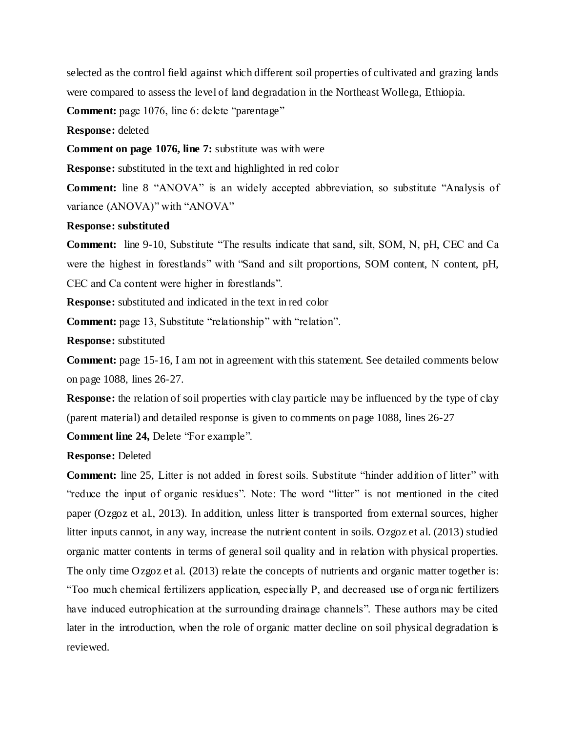selected as the control field against which different soil properties of cultivated and grazing lands were compared to assess the level of land degradation in the Northeast Wollega, Ethiopia.

**Comment:** page 1076, line 6: delete "parentage"

**Response:** deleted

**Comment on page 1076, line 7:** substitute was with were

**Response:** substituted in the text and highlighted in red color

**Comment:** line 8 "ANOVA" is an widely accepted abbreviation, so substitute "Analysis of variance (ANOVA)" with "ANOVA"

## **Response: substituted**

**Comment:** line 9-10, Substitute "The results indicate that sand, silt, SOM, N, pH, CEC and Ca were the highest in forestlands" with "Sand and silt proportions, SOM content, N content, pH, CEC and Ca content were higher in forestlands".

**Response:** substituted and indicated in the text in red color

**Comment:** page 13, Substitute "relationship" with "relation".

**Response:** substituted

**Comment:** page 15-16, I am not in agreement with this statement. See detailed comments below on page 1088, lines 26-27.

**Response:** the relation of soil properties with clay particle may be influenced by the type of clay (parent material) and detailed response is given to comments on page 1088, lines 26-27

**Comment line 24,** Delete "For example".

**Response:** Deleted

**Comment:** line 25, Litter is not added in forest soils. Substitute "hinder addition of litter" with "reduce the input of organic residues". Note: The word "litter" is not mentioned in the cited paper (Ozgoz et al., 2013). In addition, unless litter is transported from external sources, higher litter inputs cannot, in any way, increase the nutrient content in soils. Ozgoz et al. (2013) studied organic matter contents in terms of general soil quality and in relation with physical properties. The only time Ozgoz et al. (2013) relate the concepts of nutrients and organic matter together is: "Too much chemical fertilizers application, especially P, and decreased use of orga nic fertilizers have induced eutrophication at the surrounding drainage channels". These authors may be cited later in the introduction, when the role of organic matter decline on soil physical degradation is reviewed.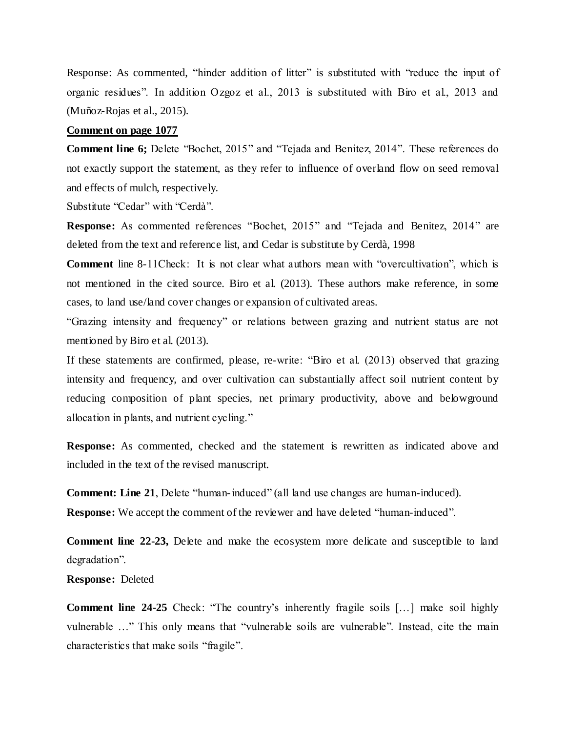Response: As commented, "hinder addition of litter" is substituted with "reduce the input of organic residues". In addition Ozgoz et al., 2013 is substituted with Biro et al., 2013 and (Muñoz-Rojas et al., 2015).

## **Comment on page 1077**

**Comment line 6;** Delete "Bochet, 2015" and "Tejada and Benitez, 2014". These references do not exactly support the statement, as they refer to influence of overland flow on seed removal and effects of mulch, respectively.

Substitute "Cedar" with "Cerdà".

**Response:** As commented references "Bochet, 2015" and "Tejada and Benitez, 2014" are deleted from the text and reference list, and Cedar is substitute by Cerdà, 1998

**Comment** line 8-11Check: It is not clear what authors mean with "overcultivation", which is not mentioned in the cited source. Biro et al. (2013). These authors make reference, in some cases, to land use/land cover changes or expansion of cultivated areas.

"Grazing intensity and frequency" or relations between grazing and nutrient status are not mentioned by Biro et al. (2013).

If these statements are confirmed, please, re-write: "Biro et al. (2013) observed that grazing intensity and frequency, and over cultivation can substantially affect soil nutrient content by reducing composition of plant species, net primary productivity, above and belowground allocation in plants, and nutrient cycling."

**Response:** As commented, checked and the statement is rewritten as indicated above and included in the text of the revised manuscript.

**Comment: Line 21**, Delete "human-induced" (all land use changes are human-induced).

**Response:** We accept the comment of the reviewer and have deleted "human-induced".

**Comment line 22-23,** Delete and make the ecosystem more delicate and susceptible to land degradation".

**Response:** Deleted

**Comment line 24-25** Check: "The country's inherently fragile soils […] make soil highly vulnerable …" This only means that "vulnerable soils are vulnerable". Instead, cite the main characteristics that make soils "fragile".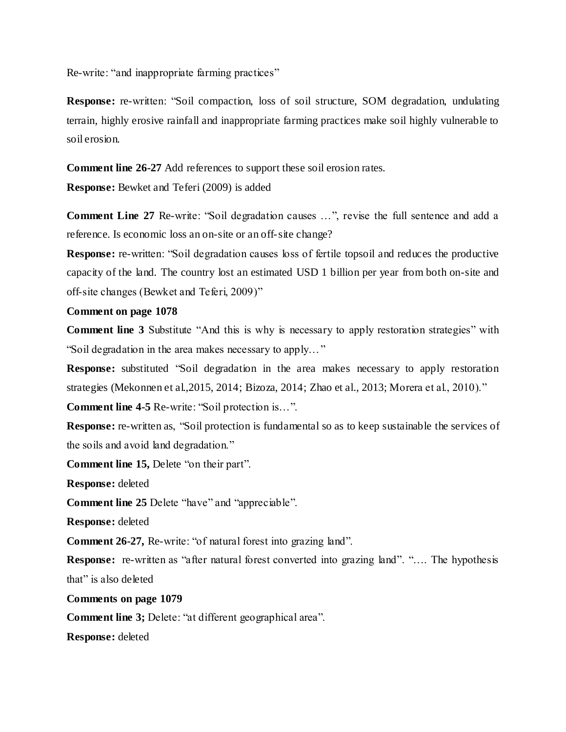Re-write: "and inappropriate farming practices"

**Response:** re-written: "Soil compaction, loss of soil structure, SOM degradation, undulating terrain, highly erosive rainfall and inappropriate farming practices make soil highly vulnerable to soil erosion.

**Comment line 26-27** Add references to support these soil erosion rates.

**Response:** Bewket and Teferi (2009) is added

**Comment Line 27** Re-write: "Soil degradation causes …", revise the full sentence and add a reference. Is economic loss an on-site or an off-site change?

**Response:** re-written: "Soil degradation causes loss of fertile topsoil and reduces the productive capacity of the land. The country lost an estimated USD 1 billion per year from both on-site and off-site changes (Bewket and Teferi, 2009)"

# **Comment on page 1078**

**Comment line 3** Substitute "And this is why is necessary to apply restoration strategies" with "Soil degradation in the area makes necessary to apply…"

**Response:** substituted "Soil degradation in the area makes necessary to apply restoration strategies (Mekonnen et al.,2015, 2014; Bizoza, 2014; Zhao et al., 2013; Morera et al., 2010)."

**Comment line 4-5** Re-write: "Soil protection is…".

**Response:** re-written as, "Soil protection is fundamental so as to keep sustainable the services of the soils and avoid land degradation."

**Comment line 15,** Delete "on their part".

**Response:** deleted

**Comment line 25** Delete "have" and "appreciable".

**Response:** deleted

**Comment 26-27,** Re-write: "of natural forest into grazing land".

**Response:** re-written as "after natural forest converted into grazing land". "…. The hypothesis that" is also deleted

**Comments on page 1079**

**Comment line 3;** Delete: "at different geographical area".

**Response:** deleted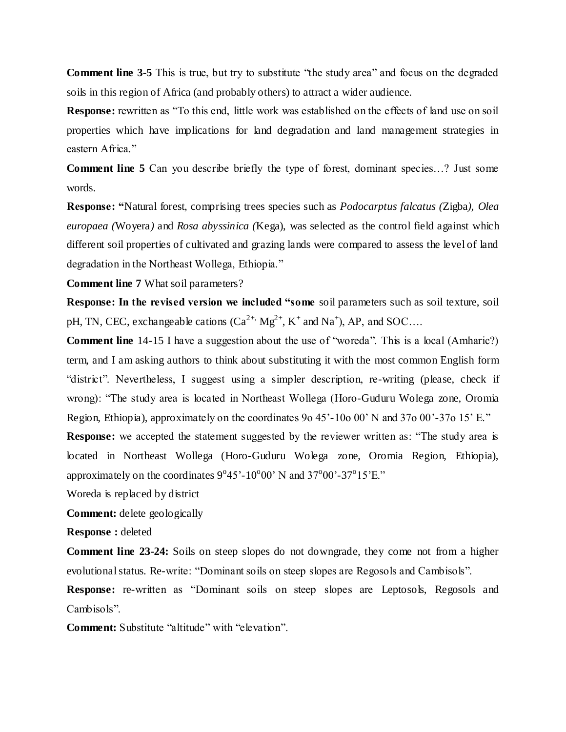**Comment line 3-5** This is true, but try to substitute "the study area" and focus on the degraded soils in this region of Africa (and probably others) to attract a wider audience.

**Response:** rewritten as "To this end, little work was established on the effects of land use on soil properties which have implications for land degradation and land management strategies in eastern Africa."

**Comment line 5** Can you describe briefly the type of forest, dominant species…? Just some words.

**Response: "**Natural forest, comprising trees species such as *Podocarptus falcatus (*Zigba*), Olea europaea (*Woyera*)* and *Rosa abyssinica (*Kega), was selected as the control field against which different soil properties of cultivated and grazing lands were compared to assess the level of land degradation in the Northeast Wollega, Ethiopia."

**Comment line 7** What soil parameters?

**Response: In the revised version we included "some** soil parameters such as soil texture, soil pH, TN, CEC, exchangeable cations  $(Ca^{2+} Mg^{2+}, K^+$  and Na<sup>+</sup>), AP, and SOC....

**Comment line** 14-15 I have a suggestion about the use of "woreda". This is a local (Amharic?) term, and I am asking authors to think about substituting it with the most common English form "district". Nevertheless, I suggest using a simpler description, re-writing (please, check if wrong): "The study area is located in Northeast Wollega (Horo-Guduru Wolega zone, Oromia Region, Ethiopia), approximately on the coordinates 9o 45'-10o 00' N and 37o 00'-37o 15' E."

**Response:** we accepted the statement suggested by the reviewer written as: "The study area is located in Northeast Wollega (Horo-Guduru Wolega zone, Oromia Region, Ethiopia), approximately on the coordinates  $9^{\circ}45'$ -10°00' N and 37°00'-37°15'E."

Woreda is replaced by district

**Comment:** delete geologically

**Response :** deleted

**Comment line 23-24:** Soils on steep slopes do not downgrade, they come not from a higher evolutional status. Re-write: "Dominant soils on steep slopes are Regosols and Cambisols".

**Response:** re-written as "Dominant soils on steep slopes are Leptosols, Regosols and Cambisols".

**Comment:** Substitute "altitude" with "elevation".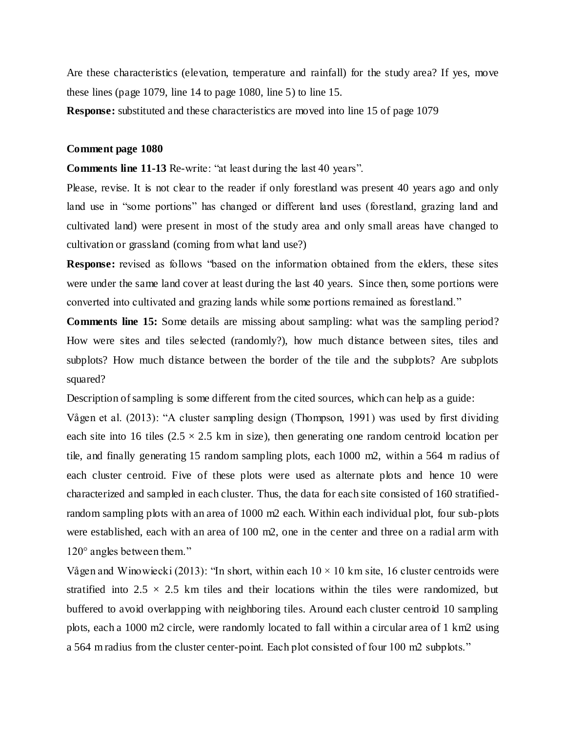Are these characteristics (elevation, temperature and rainfall) for the study area? If yes, move these lines (page 1079, line 14 to page 1080, line 5) to line 15.

**Response:** substituted and these characteristics are moved into line 15 of page 1079

#### **Comment page 1080**

**Comments line 11-13** Re-write: "at least during the last 40 years".

Please, revise. It is not clear to the reader if only forestland was present 40 years ago and only land use in "some portions" has changed or different land uses (forestland, grazing land and cultivated land) were present in most of the study area and only small areas have changed to cultivation or grassland (coming from what land use?)

**Response:** revised as follows "based on the information obtained from the elders, these sites were under the same land cover at least during the last 40 years. Since then, some portions were converted into cultivated and grazing lands while some portions remained as forestland."

**Comments line 15:** Some details are missing about sampling: what was the sampling period? How were sites and tiles selected (randomly?), how much distance between sites, tiles and subplots? How much distance between the border of the tile and the subplots? Are subplots squared?

Description of sampling is some different from the cited sources, which can help as a guide:

Vågen et al. (2013): "A cluster sampling design (Thompson, 1991) was used by first dividing each site into 16 tiles  $(2.5 \times 2.5 \text{ km} \text{ in size})$ , then generating one random centroid location per tile, and finally generating 15 random sampling plots, each 1000 m2, within a 564 m radius of each cluster centroid. Five of these plots were used as alternate plots and hence 10 were characterized and sampled in each cluster. Thus, the data for each site consisted of 160 stratifiedrandom sampling plots with an area of 1000 m2 each. Within each individual plot, four sub-plots were established, each with an area of 100 m2, one in the center and three on a radial arm with 120° angles between them."

Vågen and Winowiecki (2013): "In short, within each  $10 \times 10$  km site, 16 cluster centroids were stratified into  $2.5 \times 2.5$  km tiles and their locations within the tiles were randomized, but buffered to avoid overlapping with neighboring tiles. Around each cluster centroid 10 sampling plots, each a 1000 m2 circle, were randomly located to fall within a circular area of 1 km2 using a 564 m radius from the cluster center-point. Each plot consisted of four 100 m2 subplots."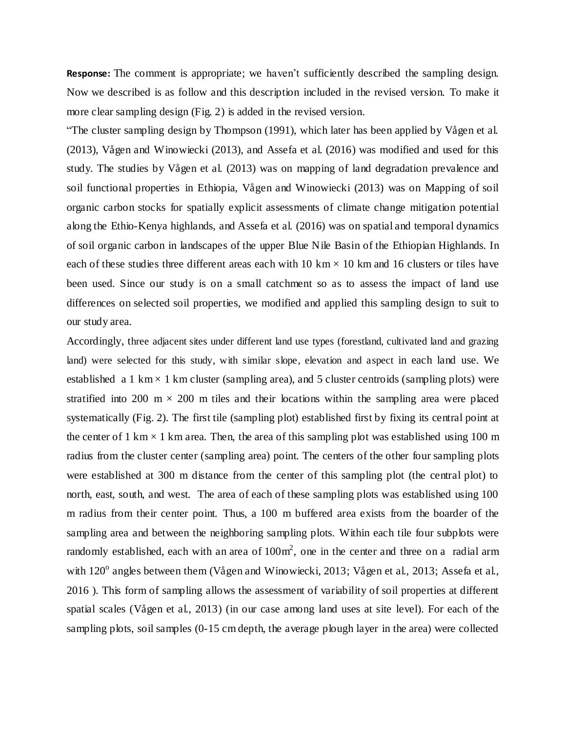**Response:** The comment is appropriate; we haven't sufficiently described the sampling design. Now we described is as follow and this description included in the revised version. To make it more clear sampling design (Fig. 2) is added in the revised version.

"The cluster sampling design by Thompson (1991), which later has been applied by Vågen et al. (2013), Vågen and Winowiecki (2013), and Assefa et al. (2016) was modified and used for this study. The studies by Vågen et al. (2013) was on mapping of land degradation prevalence and soil functional properties in Ethiopia, Vågen and Winowiecki (2013) was on Mapping of soil organic carbon stocks for spatially explicit assessments of climate change mitigation potential along the Ethio-Kenya highlands, and Assefa et al. (2016) was on spatial and temporal dynamics of soil organic carbon in landscapes of the upper Blue Nile Basin of the Ethiopian Highlands. In each of these studies three different areas each with 10 km  $\times$  10 km and 16 clusters or tiles have been used. Since our study is on a small catchment so as to assess the impact of land use differences on selected soil properties, we modified and applied this sampling design to suit to our study area.

Accordingly, three adjacent sites under different land use types (forestland, cultivated land and grazing land) were selected for this study, with similar slope, elevation and aspect in each land use. We established a 1 km  $\times$  1 km cluster (sampling area), and 5 cluster centroids (sampling plots) were stratified into 200 m  $\times$  200 m tiles and their locations within the sampling area were placed systematically (Fig. 2). The first tile (sampling plot) established first by fixing its central point at the center of 1 km  $\times$  1 km area. Then, the area of this sampling plot was established using 100 m radius from the cluster center (sampling area) point. The centers of the other four sampling plots were established at 300 m distance from the center of this sampling plot (the central plot) to north, east, south, and west. The area of each of these sampling plots was established using 100 m radius from their center point. Thus, a 100 m buffered area exists from the boarder of the sampling area and between the neighboring sampling plots. Within each tile four subplots were randomly established, each with an area of  $100m^2$ , one in the center and three on a radial arm with 120<sup>°</sup> angles between them (Vågen and Winowiecki, 2013; Vågen et al., 2013; Assefa et al., 2016 ). This form of sampling allows the assessment of variability of soil properties at different spatial scales (Vågen et al., 2013) (in our case among land uses at site level). For each of the sampling plots, soil samples (0-15 cm depth, the average plough layer in the area) were collected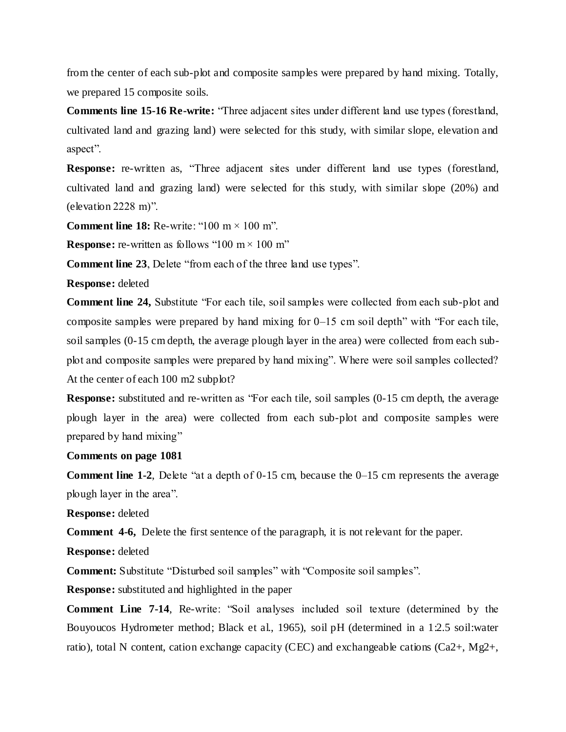from the center of each sub-plot and composite samples were prepared by hand mixing. Totally, we prepared 15 composite soils.

**Comments line 15-16 Re-write:** "Three adjacent sites under different land use types (forestland, cultivated land and grazing land) were selected for this study, with similar slope, elevation and aspect".

**Response:** re-written as, "Three adjacent sites under different land use types (forestland, cultivated land and grazing land) were selected for this study, with similar slope (20%) and (elevation 2228 m)".

**Comment line 18:** Re-write: " $100 \text{ m} \times 100 \text{ m}$ ".

**Response:** re-written as follows "100 m  $\times$  100 m"

**Comment line 23**, Delete "from each of the three land use types".

**Response:** deleted

**Comment line 24,** Substitute "For each tile, soil samples were collected from each sub-plot and composite samples were prepared by hand mixing for 0–15 cm soil depth" with "For each tile, soil samples (0-15 cm depth, the average plough layer in the area) were collected from each subplot and composite samples were prepared by hand mixing". Where were soil samples collected? At the center of each 100 m2 subplot?

**Response:** substituted and re-written as "For each tile, soil samples (0-15 cm depth, the average plough layer in the area) were collected from each sub-plot and composite samples were prepared by hand mixing"

# **Comments on page 1081**

**Comment line 1-2**, Delete "at a depth of 0-15 cm, because the 0–15 cm represents the average plough layer in the area".

**Response:** deleted

**Comment 4-6,** Delete the first sentence of the paragraph, it is not relevant for the paper.

**Response:** deleted

**Comment:** Substitute "Disturbed soil samples" with "Composite soil samples".

**Response:** substituted and highlighted in the paper

**Comment Line 7-14**, Re-write: "Soil analyses included soil texture (determined by the Bouyoucos Hydrometer method; Black et al., 1965), soil pH (determined in a 1:2.5 soil:water ratio), total N content, cation exchange capacity (CEC) and exchangeable cations (Ca2+, Mg2+,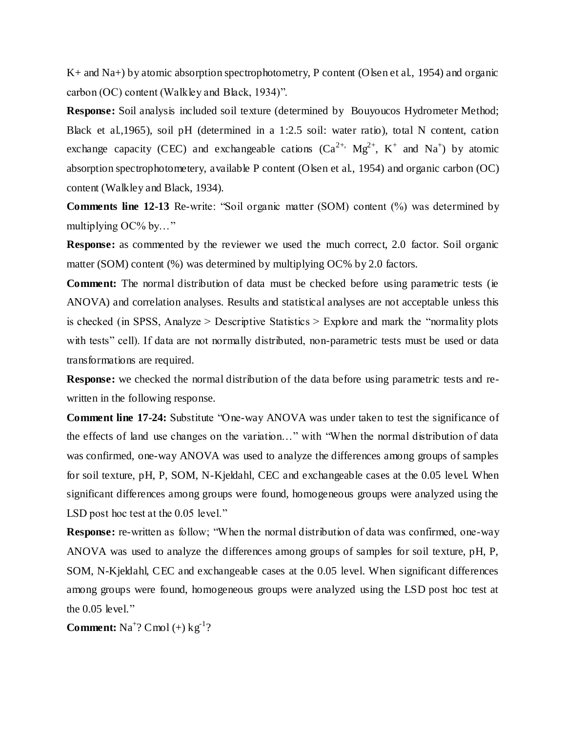K+ and Na+) by atomic absorption spectrophotometry, P content (Olsen et al., 1954) and organic carbon (OC) content (Walkley and Black, 1934)".

**Response:** Soil analysis included soil texture (determined by Bouyoucos Hydrometer Method; Black et al.,1965), soil pH (determined in a 1:2.5 soil: water ratio), total N content, cation exchange capacity (CEC) and exchangeable cations  $(Ca^{2+}$ ,  $Mg^{2+}$ ,  $K^+$  and  $Na^+$ ) by atomic absorption spectrophotometery, available P content (Olsen et al., 1954) and organic carbon (OC) content (Walkley and Black, 1934).

**Comments line 12-13** Re-write: "Soil organic matter (SOM) content (%) was determined by multiplying OC% by…"

**Response:** as commented by the reviewer we used the much correct, 2.0 factor. Soil organic matter (SOM) content (%) was determined by multiplying OC% by 2.0 factors.

**Comment:** The normal distribution of data must be checked before using parametric tests (ie ANOVA) and correlation analyses. Results and statistical analyses are not acceptable unless this is checked (in SPSS, Analyze  $>$  Descriptive Statistics  $>$  Explore and mark the "normality plots" with tests" cell). If data are not normally distributed, non-parametric tests must be used or data transformations are required.

**Response:** we checked the normal distribution of the data before using parametric tests and rewritten in the following response.

**Comment line 17-24:** Substitute "One-way ANOVA was under taken to test the significance of the effects of land use changes on the variation…" with "When the normal distribution of data was confirmed, one-way ANOVA was used to analyze the differences among groups of samples for soil texture, pH, P, SOM, N-Kjeldahl, CEC and exchangeable cases at the 0.05 level. When significant differences among groups were found, homogeneous groups were analyzed using the LSD post hoc test at the 0.05 level."

**Response:** re-written as follow; "When the normal distribution of data was confirmed, one-way ANOVA was used to analyze the differences among groups of samples for soil texture, pH, P, SOM, N-Kjeldahl, CEC and exchangeable cases at the 0.05 level. When significant differences among groups were found, homogeneous groups were analyzed using the LSD post hoc test at the 0.05 level."

**Comment:**  $\text{Na}^+$ ? Cmol (+)  $\text{kg}^1$ ?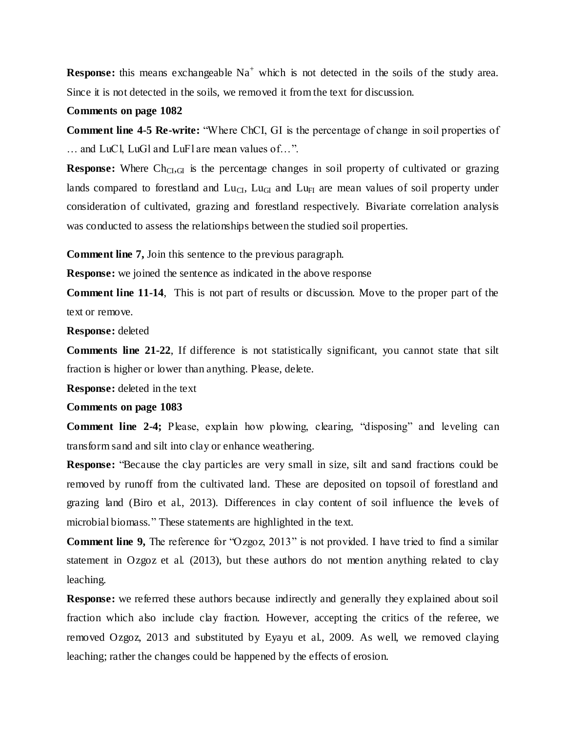**Response:** this means exchangeable  $Na<sup>+</sup>$  which is not detected in the soils of the study area. Since it is not detected in the soils, we removed it from the text for discussion.

#### **Comments on page 1082**

**Comment line 4-5 Re-write:** "Where ChCI, GI is the percentage of change in soil properties of … and LuCl, LuGl and LuFl are mean values of…".

**Response:** Where  $Ch_{Cl,GH}$  is the percentage changes in soil property of cultivated or grazing lands compared to forestland and  $Lu_{CI}$ ,  $Lu_{GI}$  and  $Lu_{FI}$  are mean values of soil property under consideration of cultivated, grazing and forestland respectively. Bivariate correlation analysis was conducted to assess the relationships between the studied soil properties.

**Comment line 7,** Join this sentence to the previous paragraph.

**Response:** we joined the sentence as indicated in the above response

**Comment line 11-14**, This is not part of results or discussion. Move to the proper part of the text or remove.

**Response:** deleted

**Comments line 21-22**, If difference is not statistically significant, you cannot state that silt fraction is higher or lower than anything. Please, delete.

**Response:** deleted in the text

#### **Comments on page 1083**

**Comment line 2-4;** Please, explain how plowing, clearing, "disposing" and leveling can transform sand and silt into clay or enhance weathering.

**Response:** "Because the clay particles are very small in size, silt and sand fractions could be removed by runoff from the cultivated land. These are deposited on topsoil of forestland and grazing land (Biro et al., 2013). Differences in clay content of soil influence the levels of microbial biomass." These statements are highlighted in the text.

**Comment line 9,** The reference for "Ozgoz, 2013" is not provided. I have tried to find a similar statement in Ozgoz et al. (2013), but these authors do not mention anything related to clay leaching.

**Response:** we referred these authors because indirectly and generally they explained about soil fraction which also include clay fraction. However, accepting the critics of the referee, we removed Ozgoz, 2013 and substituted by Eyayu et al., 2009. As well, we removed claying leaching; rather the changes could be happened by the effects of erosion.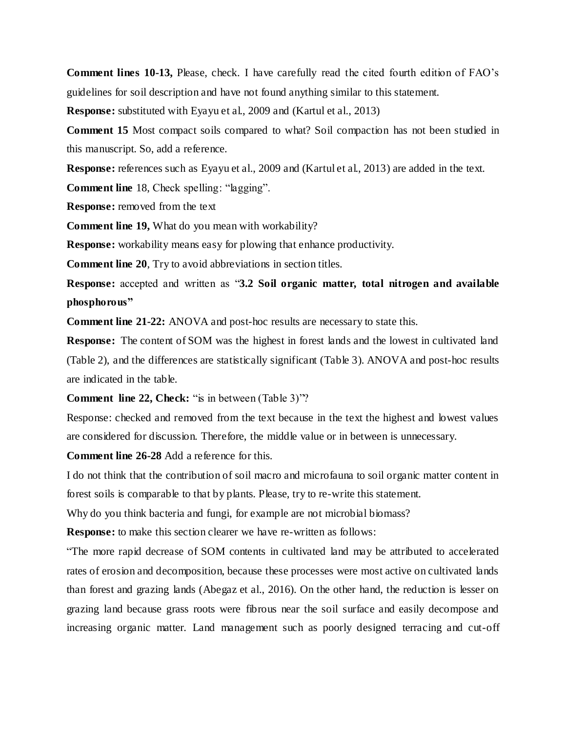**Comment lines 10-13,** Please, check. I have carefully read the cited fourth edition of FAO's guidelines for soil description and have not found anything similar to this statement.

**Response:** substituted with Eyayu et al., 2009 and (Kartul et al., 2013)

**Comment 15** Most compact soils compared to what? Soil compaction has not been studied in this manuscript. So, add a reference.

**Response:** references such as Eyayu et al., 2009 and (Kartul et al., 2013) are added in the text.

**Comment line** 18, Check spelling: "lagging".

**Response:** removed from the text

**Comment line 19,** What do you mean with workability?

**Response:** workability means easy for plowing that enhance productivity.

**Comment line 20**, Try to avoid abbreviations in section titles.

**Response:** accepted and written as "**3.2 Soil organic matter, total nitrogen and available phosphorous"**

**Comment line 21-22:** ANOVA and post-hoc results are necessary to state this.

**Response:** The content of SOM was the highest in forest lands and the lowest in cultivated land (Table 2), and the differences are statistically significant (Table 3). ANOVA and post-hoc results are indicated in the table.

**Comment line 22, Check:** "is in between (Table 3)"?

Response: checked and removed from the text because in the text the highest and lowest values are considered for discussion. Therefore, the middle value or in between is unnecessary.

**Comment line 26-28** Add a reference for this.

I do not think that the contribution of soil macro and microfauna to soil organic matter content in forest soils is comparable to that by plants. Please, try to re-write this statement.

Why do you think bacteria and fungi, for example are not microbial biomass?

**Response:** to make this section clearer we have re-written as follows:

"The more rapid decrease of SOM contents in cultivated land may be attributed to accelerated rates of erosion and decomposition, because these processes were most active on cultivated lands than forest and grazing lands (Abegaz et al., 2016). On the other hand, the reduction is lesser on grazing land because grass roots were fibrous near the soil surface and easily decompose and increasing organic matter. Land management such as poorly designed terracing and cut-off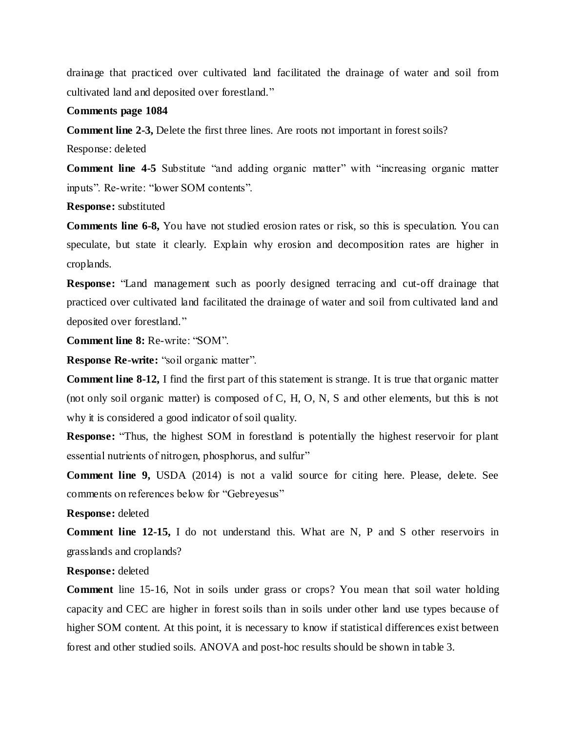drainage that practiced over cultivated land facilitated the drainage of water and soil from cultivated land and deposited over forestland."

## **Comments page 1084**

**Comment line 2-3,** Delete the first three lines. Are roots not important in forest soils?

Response: deleted

**Comment line 4-5** Substitute "and adding organic matter" with "increasing organic matter inputs". Re-write: "lower SOM contents".

**Response:** substituted

**Comments line 6-8,** You have not studied erosion rates or risk, so this is speculation. You can speculate, but state it clearly. Explain why erosion and decomposition rates are higher in croplands.

**Response:** "Land management such as poorly designed terracing and cut-off drainage that practiced over cultivated land facilitated the drainage of water and soil from cultivated land and deposited over forestland."

**Comment line 8:** Re-write: "SOM".

**Response Re-write:** "soil organic matter".

**Comment line 8-12,** I find the first part of this statement is strange. It is true that organic matter (not only soil organic matter) is composed of C, H, O, N, S and other elements, but this is not why it is considered a good indicator of soil quality.

**Response:** "Thus, the highest SOM in forestland is potentially the highest reservoir for plant essential nutrients of nitrogen, phosphorus, and sulfur"

**Comment line 9,** USDA (2014) is not a valid source for citing here. Please, delete. See comments on references below for "Gebreyesus"

**Response:** deleted

**Comment line 12-15,** I do not understand this. What are N, P and S other reservoirs in grasslands and croplands?

# **Response:** deleted

**Comment** line 15-16, Not in soils under grass or crops? You mean that soil water holding capacity and CEC are higher in forest soils than in soils under other land use types because of higher SOM content. At this point, it is necessary to know if statistical differences exist between forest and other studied soils. ANOVA and post-hoc results should be shown in table 3.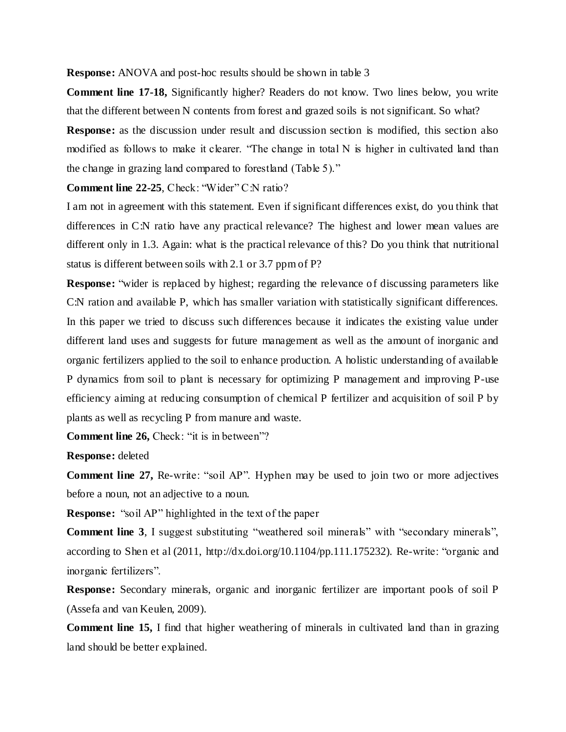**Response:** ANOVA and post-hoc results should be shown in table 3

**Comment line 17-18,** Significantly higher? Readers do not know. Two lines below, you write that the different between N contents from forest and grazed soils is not significant. So what?

**Response:** as the discussion under result and discussion section is modified, this section also modified as follows to make it clearer. "The change in total N is higher in cultivated land than the change in grazing land compared to forestland (Table 5)."

**Comment line 22-25**, Check: "Wider" C:N ratio?

I am not in agreement with this statement. Even if significant differences exist, do you think that differences in C:N ratio have any practical relevance? The highest and lower mean values are different only in 1.3. Again: what is the practical relevance of this? Do you think that nutritional status is different between soils with 2.1 or 3.7 ppm of P?

**Response:** "wider is replaced by highest; regarding the relevance of discussing parameters like C:N ration and available P, which has smaller variation with statistically significant differences. In this paper we tried to discuss such differences because it indicates the existing value under different land uses and suggests for future management as well as the amount of inorganic and organic fertilizers applied to the soil to enhance production. A holistic understanding of available P dynamics from soil to plant is necessary for optimizing P management and improving P-use efficiency aiming at reducing consumption of chemical P fertilizer and acquisition of soil P by plants as well as recycling P from manure and waste.

**Comment line 26,** Check: "it is in between"?

**Response:** deleted

**Comment line 27,** Re-write: "soil AP". Hyphen may be used to join two or more adjectives before a noun, not an adjective to a noun.

**Response:** "soil AP" highlighted in the text of the paper

**Comment line 3**, I suggest substituting "weathered soil minerals" with "secondary minerals", according to Shen et al (2011, http://dx.doi.org/10.1104/pp.111.175232). Re-write: "organic and inorganic fertilizers".

**Response:** Secondary minerals, organic and inorganic fertilizer are important pools of soil P (Assefa and van Keulen, 2009).

**Comment line 15,** I find that higher weathering of minerals in cultivated land than in grazing land should be better explained.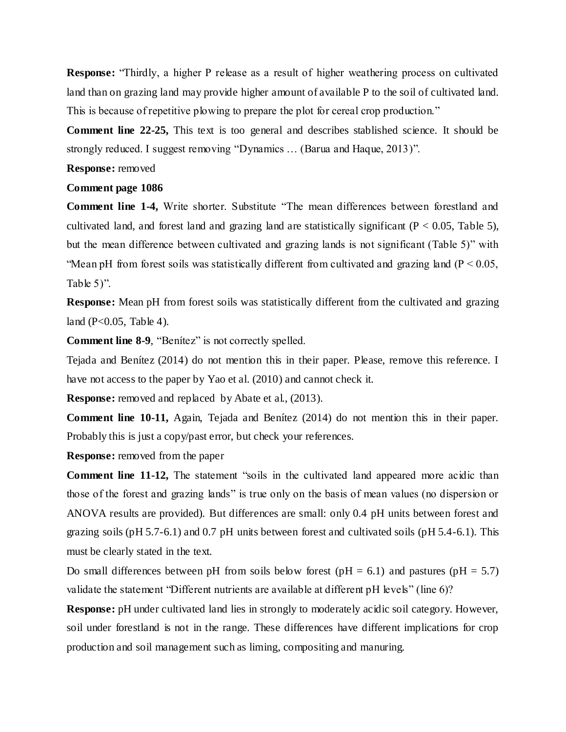**Response:** "Thirdly, a higher P release as a result of higher weathering process on cultivated land than on grazing land may provide higher amount of available P to the soil of cultivated land. This is because of repetitive plowing to prepare the plot for cereal crop production."

**Comment line 22-25,** This text is too general and describes stablished science. It should be strongly reduced. I suggest removing "Dynamics … (Barua and Haque, 2013)".

**Response:** removed

# **Comment page 1086**

**Comment line 1-4,** Write shorter. Substitute "The mean differences between forestland and cultivated land, and forest land and grazing land are statistically significant ( $P < 0.05$ , Table 5), but the mean difference between cultivated and grazing lands is not significant (Table 5)" with "Mean pH from forest soils was statistically different from cultivated and grazing land ( $P < 0.05$ , Table  $5$ ".

**Response:** Mean pH from forest soils was statistically different from the cultivated and grazing land  $(P<0.05$ , Table 4).

**Comment line 8-9**, "Benítez" is not correctly spelled.

Tejada and Benítez (2014) do not mention this in their paper. Please, remove this reference. I have not access to the paper by Yao et al. (2010) and cannot check it.

**Response:** removed and replaced by Abate et al., (2013).

**Comment line 10-11,** Again, Tejada and Benítez (2014) do not mention this in their paper. Probably this is just a copy/past error, but check your references.

**Response:** removed from the paper

**Comment line 11-12,** The statement "soils in the cultivated land appeared more acidic than those of the forest and grazing lands" is true only on the basis of mean values (no dispersion or ANOVA results are provided). But differences are small: only 0.4 pH units between forest and grazing soils (pH 5.7-6.1) and 0.7 pH units between forest and cultivated soils (pH 5.4-6.1). This must be clearly stated in the text.

Do small differences between pH from soils below forest (pH = 6.1) and pastures (pH = 5.7) validate the statement "Different nutrients are available at different pH levels" (line 6)?

**Response:** pH under cultivated land lies in strongly to moderately acidic soil category. However, soil under forestland is not in the range. These differences have different implications for crop production and soil management such as liming, compositing and manuring.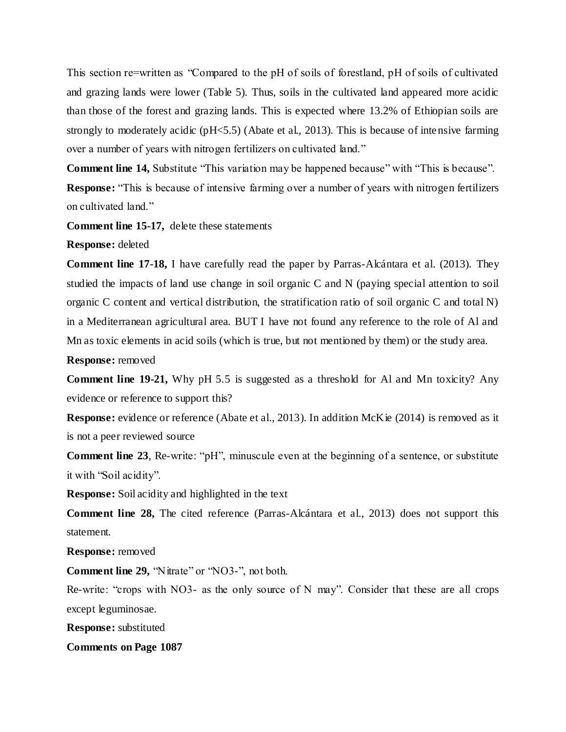This section re=written as "Compared to the pH of soils of forestland, pH of soils of cultivated and grazing lands were lower (Table 5). Thus, soils in the cultivated land appeared more acidic than those of the forest and grazing lands. This is expected where 13.2% of Ethiopian soils are strongly to moderately acidic (pH<5.5) (Abate et al., 2013). This is because of intensive farming over a number of years with nitrogen fertilizers on cultivated land."

**Comment line 14,** Substitute "This variation may be happened because" with "This is because".

**Response:** "This is because of intensive farming over a number of years with nitrogen fertilizers on cultivated land."

**Comment line 15-17,** delete these statements

**Response:** deleted

**Comment line 17-18,** I have carefully read the paper by Parras-Alcántara et al. (2013). They studied the impacts of land use change in soil organic C and N (paying special attention to soil organic C content and vertical distribution, the stratification ratio of soil organic C and total N) in a Mediterranean agricultural area. BUT I have not found any reference to the role of Al and Mn as toxic elements in acid soils (which is true, but not mentioned by them) or the study area.

**Response:** removed

**Comment line 19-21,** Why pH 5.5 is suggested as a threshold for Al and Mn toxicity? Any evidence or reference to support this?

**Response:** evidence or reference (Abate et al., 2013). In addition McKie (2014) is removed as it is not a peer reviewed source

**Comment line 23**, Re-write: "pH", minuscule even at the beginning of a sentence, or substitute it with "Soil acidity".

**Response:** Soil acidity and highlighted in the text

**Comment line 28,** The cited reference (Parras-Alcántara et al., 2013) does not support this statement.

**Response:** removed

**Comment line 29,** "Nitrate" or "NO3-", not both.

Re-write: "crops with NO3- as the only source of N may". Consider that these are all crops except leguminosae.

**Response:** substituted

**Comments on Page 1087**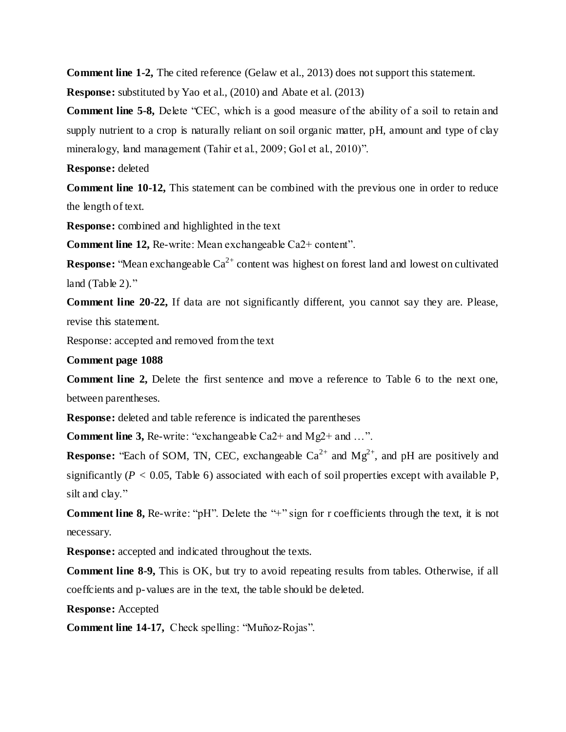**Comment line 1-2,** The cited reference (Gelaw et al., 2013) does not support this statement.

**Response:** substituted by Yao et al., (2010) and Abate et al. (2013)

**Comment line 5-8,** Delete "CEC, which is a good measure of the ability of a soil to retain and supply nutrient to a crop is naturally reliant on soil organic matter, pH, amount and type of clay mineralogy, land management (Tahir et al., 2009; Gol et al., 2010)".

**Response:** deleted

**Comment line 10-12,** This statement can be combined with the previous one in order to reduce the length of text.

**Response:** combined and highlighted in the text

**Comment line 12, Re-write: Mean exchangeable Ca2+ content".** 

**Response:** "Mean exchangeable  $Ca^{2+}$  content was highest on forest land and lowest on cultivated land (Table 2)."

**Comment line 20-22,** If data are not significantly different, you cannot say they are. Please, revise this statement.

Response: accepted and removed from the text

**Comment page 1088**

**Comment line 2,** Delete the first sentence and move a reference to Table 6 to the next one, between parentheses.

**Response:** deleted and table reference is indicated the parentheses

**Comment line 3, Re-write: "exchangeable Ca2+ and Mg2+ and ...".** 

**Response:** "Each of SOM, TN, CEC, exchangeable  $Ca^{2+}$  and  $Mg^{2+}$ , and pH are positively and significantly ( $P < 0.05$ , Table 6) associated with each of soil properties except with available P, silt and clay."

**Comment line 8, Re-write: "pH".** Delete the "+" sign for r coefficients through the text, it is not necessary.

**Response:** accepted and indicated throughout the texts.

**Comment line 8-9,** This is OK, but try to avoid repeating results from tables. Otherwise, if all coeffcients and p-values are in the text, the table should be deleted.

**Response:** Accepted

**Comment line 14-17,** Check spelling: "Muñoz-Rojas".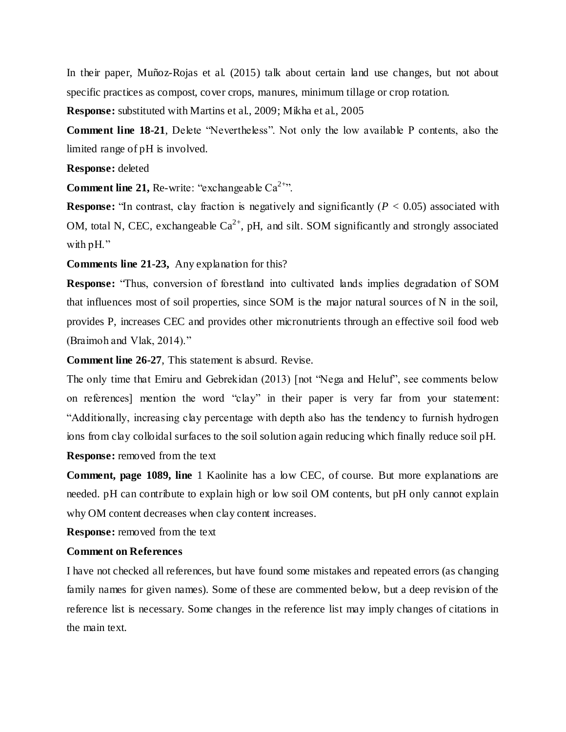In their paper, Muñoz-Rojas et al. (2015) talk about certain land use changes, but not about specific practices as compost, cover crops, manures, minimum tillage or crop rotation.

**Response:** substituted with Martins et al., 2009; Mikha et al., 2005

**Comment line 18-21**, Delete "Nevertheless". Not only the low available P contents, also the limited range of pH is involved.

## **Response:** deleted

**Comment line 21, Re-write: "exchangeable**  $Ca^{2+r}$ **.**"

**Response:** "In contrast, clay fraction is negatively and significantly ( $P < 0.05$ ) associated with OM, total N, CEC, exchangeable  $Ca^{2+}$ , pH, and silt. SOM significantly and strongly associated with pH."

**Comments line 21-23,** Any explanation for this?

**Response:** "Thus, conversion of forestland into cultivated lands implies degradation of SOM that influences most of soil properties, since SOM is the major natural sources of N in the soil, provides P, increases CEC and provides other micronutrients through an effective soil food web (Braimoh and Vlak, 2014)."

**Comment line 26-27**, This statement is absurd. Revise.

The only time that Emiru and Gebrekidan (2013) [not "Nega and Heluf", see comments below on references] mention the word "clay" in their paper is very far from your statement: "Additionally, increasing clay percentage with depth also has the tendency to furnish hydrogen ions from clay colloidal surfaces to the soil solution again reducing which finally reduce soil pH. **Response:** removed from the text

**Comment, page 1089, line** 1 Kaolinite has a low CEC, of course. But more explanations are needed. pH can contribute to explain high or low soil OM contents, but pH only cannot explain why OM content decreases when clay content increases.

**Response:** removed from the text

# **Comment on References**

I have not checked all references, but have found some mistakes and repeated errors (as changing family names for given names). Some of these are commented below, but a deep revision of the reference list is necessary. Some changes in the reference list may imply changes of citations in the main text.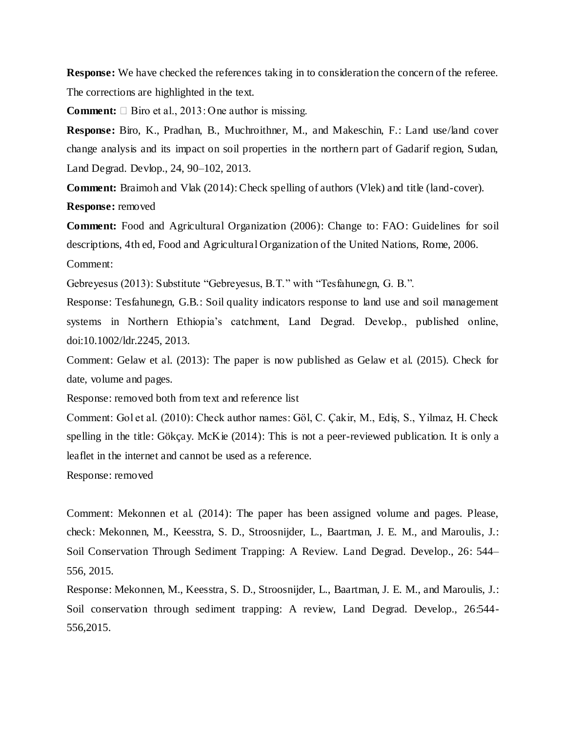**Response:** We have checked the references taking in to consideration the concern of the referee. The corrections are highlighted in the text.

**Comment:**  $\Box$  Biro et al., 2013: One author is missing.

**Response:** Biro, K., Pradhan, B., Muchroithner, M., and Makeschin, F.: Land use/land cover change analysis and its impact on soil properties in the northern part of Gadarif region, Sudan, Land Degrad. Devlop., 24, 90–102, 2013.

**Comment:** Braimoh and Vlak (2014): Check spelling of authors (Vlek) and title (land-cover). **Response:** removed

**Comment:** Food and Agricultural Organization (2006): Change to: FAO: Guidelines for soil descriptions, 4th ed, Food and Agricultural Organization of the United Nations, Rome, 2006. Comment:

Gebreyesus (2013): Substitute "Gebreyesus, B.T." with "Tesfahunegn, G. B.".

Response: Tesfahunegn, G.B.: Soil quality indicators response to land use and soil management systems in Northern Ethiopia's catchment, Land Degrad. Develop., published online, doi:10.1002/ldr.2245, 2013.

Comment: Gelaw et al. (2013): The paper is now published as Gelaw et al. (2015). Check for date, volume and pages.

Response: removed both from text and reference list

Comment: Gol et al. (2010): Check author names: Göl, C. Çakir, M., Ediş, S., Yilmaz, H. Check spelling in the title: Gökçay. McKie (2014): This is not a peer-reviewed publication. It is only a leaflet in the internet and cannot be used as a reference.

Response: removed

Comment: Mekonnen et al. (2014): The paper has been assigned volume and pages. Please, check: Mekonnen, M., Keesstra, S. D., Stroosnijder, L., Baartman, J. E. M., and Maroulis, J.: Soil Conservation Through Sediment Trapping: A Review. Land Degrad. Develop., 26: 544– 556, 2015.

Response: Mekonnen, M., Keesstra, S. D., Stroosnijder, L., Baartman, J. E. M., and Maroulis, J.: Soil conservation through sediment trapping: A review, Land Degrad. Develop., 26:544- 556,2015.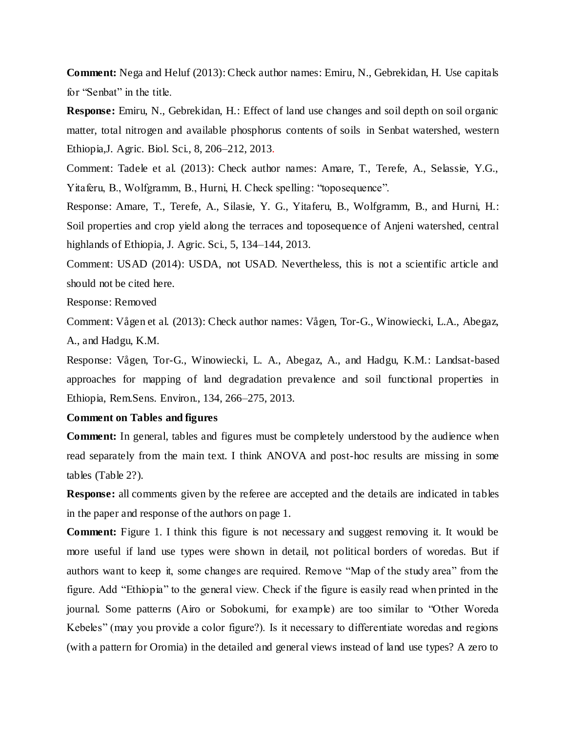**Comment:** Nega and Heluf (2013): Check author names: Emiru, N., Gebrekidan, H. Use capitals for "Senbat" in the title.

**Response:** Emiru, N., Gebrekidan, H.: Effect of land use changes and soil depth on soil organic matter, total nitrogen and available phosphorus contents of soils in Senbat watershed, western Ethiopia,J. Agric. Biol. Sci., 8, 206–212, 2013.

Comment: Tadele et al. (2013): Check author names: Amare, T., Terefe, A., Selassie, Y.G., Yitaferu, B., Wolfgramm, B., Hurni, H. Check spelling: "toposequence".

Response: Amare, T., Terefe, A., Silasie, Y. G., Yitaferu, B., Wolfgramm, B., and Hurni, H.: Soil properties and crop yield along the terraces and toposequence of Anjeni watershed, central highlands of Ethiopia, J. Agric. Sci., 5, 134–144, 2013.

Comment: USAD (2014): USDA, not USAD. Nevertheless, this is not a scientific article and should not be cited here.

Response: Removed

Comment: Vågen et al. (2013): Check author names: Vågen, Tor-G., Winowiecki, L.A., Abegaz, A., and Hadgu, K.M.

Response: Vågen, Tor-G., Winowiecki, L. A., Abegaz, A., and Hadgu, K.M.: Landsat-based approaches for mapping of land degradation prevalence and soil functional properties in Ethiopia, Rem.Sens. Environ., 134, 266–275, 2013.

# **Comment on Tables and figures**

**Comment:** In general, tables and figures must be completely understood by the audience when read separately from the main text. I think ANOVA and post-hoc results are missing in some tables (Table 2?).

**Response:** all comments given by the referee are accepted and the details are indicated in tables in the paper and response of the authors on page 1.

**Comment:** Figure 1. I think this figure is not necessary and suggest removing it. It would be more useful if land use types were shown in detail, not political borders of woredas. But if authors want to keep it, some changes are required. Remove "Map of the study area" from the figure. Add "Ethiopia" to the general view. Check if the figure is easily read when printed in the journal. Some patterns (Airo or Sobokumi, for example) are too similar to "Other Woreda Kebeles" (may you provide a color figure?). Is it necessary to differentiate woredas and regions (with a pattern for Oromia) in the detailed and general views instead of land use types? A zero to